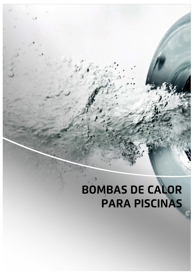## **BOMBAS DE CALOR PARA PISCINAS**